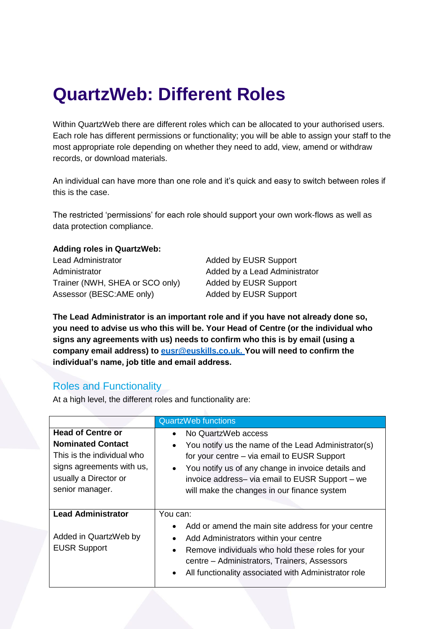## **QuartzWeb: Different Roles**

Within QuartzWeb there are different roles which can be allocated to your authorised users. Each role has different permissions or functionality; you will be able to assign your staff to the most appropriate role depending on whether they need to add, view, amend or withdraw records, or download materials.

An individual can have more than one role and it's quick and easy to switch between roles if this is the case.

The restricted 'permissions' for each role should support your own work-flows as well as data protection compliance.

## **Adding roles in QuartzWeb:**

Lead Administrator **Added by EUSR Support** Administrator **Added by a Lead Administrator** Added by a Lead Administrator Trainer (NWH, SHEA or SCO only) Added by EUSR Support Assessor (BESC:AME only) Added by EUSR Support

**The Lead Administrator is an important role and if you have not already done so, you need to advise us who this will be. Your Head of Centre (or the individual who signs any agreements with us) needs to confirm who this is by email (using a company email address) to [eusr@euskills.co.uk.](mailto:eusr@euskills.co.uk) You will need to confirm the individual's name, job title and email address.**

## Roles and Functionality

At a high level, the different roles and functionality are:

|                                                                                                                                                             | <b>QuartzWeb functions</b>                                                                                                                                                                                                                                                                                  |
|-------------------------------------------------------------------------------------------------------------------------------------------------------------|-------------------------------------------------------------------------------------------------------------------------------------------------------------------------------------------------------------------------------------------------------------------------------------------------------------|
| <b>Head of Centre or</b><br><b>Nominated Contact</b><br>This is the individual who<br>signs agreements with us,<br>usually a Director or<br>senior manager. | No QuartzWeb access<br>You notify us the name of the Lead Administrator(s)<br>$\bullet$<br>for your centre – via email to EUSR Support<br>You notify us of any change in invoice details and<br>$\bullet$<br>invoice address- via email to EUSR Support - we<br>will make the changes in our finance system |
| <b>Lead Administrator</b><br>Added in QuartzWeb by<br><b>EUSR Support</b>                                                                                   | You can:<br>Add or amend the main site address for your centre<br>Add Administrators within your centre<br>$\bullet$<br>Remove individuals who hold these roles for your<br>$\bullet$<br>centre - Administrators, Trainers, Assessors<br>All functionality associated with Administrator role<br>$\bullet$  |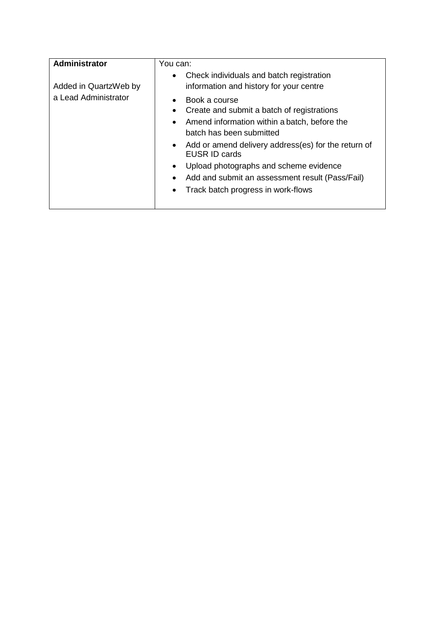| <b>Administrator</b>  | You can:                                                                                                                                                  |
|-----------------------|-----------------------------------------------------------------------------------------------------------------------------------------------------------|
| Added in QuartzWeb by | Check individuals and batch registration<br>$\bullet$<br>information and history for your centre                                                          |
| a Lead Administrator  | Book a course<br>Create and submit a batch of registrations<br>Amend information within a batch, before the<br>$\bullet$<br>batch has been submitted      |
|                       | Add or amend delivery address(es) for the return of<br>$\bullet$<br><b>EUSR ID cards</b>                                                                  |
|                       | Upload photographs and scheme evidence<br>$\bullet$<br>Add and submit an assessment result (Pass/Fail)<br>Track batch progress in work-flows<br>$\bullet$ |